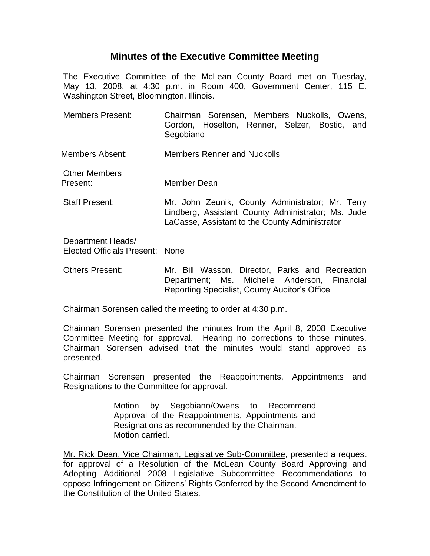## **Minutes of the Executive Committee Meeting**

The Executive Committee of the McLean County Board met on Tuesday, May 13, 2008, at 4:30 p.m. in Room 400, Government Center, 115 E. Washington Street, Bloomington, Illinois.

- Members Present: Chairman Sorensen, Members Nuckolls, Owens, Gordon, Hoselton, Renner, Selzer, Bostic, and Segobiano
- Members Absent: Members Renner and Nuckolls
- Other Members Present: Member Dean
- Staff Present: Mr. John Zeunik, County Administrator; Mr. Terry Lindberg, Assistant County Administrator; Ms. Jude LaCasse, Assistant to the County Administrator

Department Heads/ Elected Officials Present: None

Others Present: Mr. Bill Wasson, Director, Parks and Recreation Department; Ms. Michelle Anderson, Financial Reporting Specialist, County Auditor's Office

Chairman Sorensen called the meeting to order at 4:30 p.m.

Chairman Sorensen presented the minutes from the April 8, 2008 Executive Committee Meeting for approval. Hearing no corrections to those minutes, Chairman Sorensen advised that the minutes would stand approved as presented.

Chairman Sorensen presented the Reappointments, Appointments and Resignations to the Committee for approval.

> Motion by Segobiano/Owens to Recommend Approval of the Reappointments, Appointments and Resignations as recommended by the Chairman. Motion carried.

Mr. Rick Dean, Vice Chairman, Legislative Sub-Committee, presented a request for approval of a Resolution of the McLean County Board Approving and Adopting Additional 2008 Legislative Subcommittee Recommendations to oppose Infringement on Citizens' Rights Conferred by the Second Amendment to the Constitution of the United States.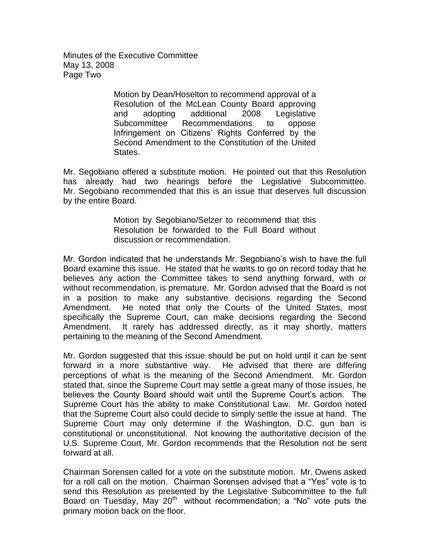Minutes of the Executive Committee May 13, 2008 Page Two

> Motion by Dean/Hoselton to recommend approval of a Resolution of the McLean County Board approving and adopting additional 2008 Legislative Subcommittee Recommendations to oppose Infringement on Citizens' Rights Conferred by the Second Amendment to the Constitution of the United **States**

Mr. Segobiano offered a substitute motion. He pointed out that this Resolution has already had two hearings before the Legislative Subcommittee. Mr. Segobiano recommended that this is an issue that deserves full discussion by the entire Board.

> Motion by Segobiano/Selzer to recommend that this Resolution be forwarded to the Full Board without discussion or recommendation.

Mr. Gordon indicated that he understands Mr. Segobiano's wish to have the full Board examine this issue. He stated that he wants to go on record today that he believes any action the Committee takes to send anything forward, with or without recommendation, is premature. Mr. Gordon advised that the Board is not in a position to make any substantive decisions regarding the Second Amendment. He noted that only the Courts of the United States, most specifically the Supreme Court, can make decisions regarding the Second Amendment. It rarely has addressed directly, as it may shortly, matters pertaining to the meaning of the Second Amendment.

Mr. Gordon suggested that this issue should be put on hold until it can be sent forward in a more substantive way. He advised that there are differing perceptions of what is the meaning of the Second Amendment. Mr. Gordon stated that, since the Supreme Court may settle a great many of those issues, he believes the County Board should wait until the Supreme Court's action. The Supreme Court has the ability to make Constitutional Law. Mr. Gordon noted that the Supreme Court also could decide to simply settle the issue at hand. The Supreme Court may only determine if the Washington, D.C. gun ban is constitutional or unconstitutional. Not knowing the authoritative decision of the U.S. Supreme Court, Mr. Gordon recommends that the Resolution not be sent forward at all.

Chairman Sorensen called for a vote on the substitute motion. Mr. Owens asked for a roll call on the motion. Chairman Sorensen advised that a "Yes" vote is to send this Resolution as presented by the Legislative Subcommittee to the full Board on Tuesday, May 20<sup>th</sup> without recommendation; a "No" vote puts the primary motion back on the floor.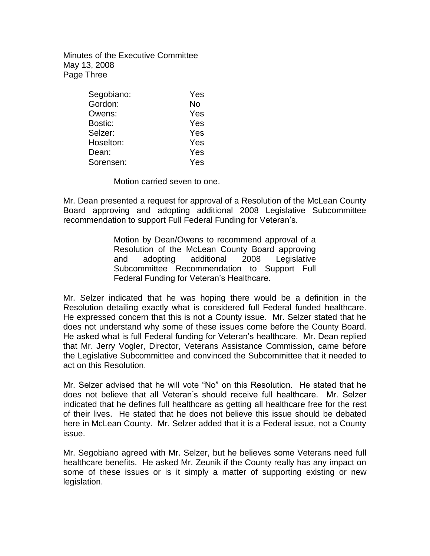Minutes of the Executive Committee May 13, 2008 Page Three

| Segobiano: | Yes |
|------------|-----|
| Gordon:    | No  |
| Owens:     | Yes |
| Bostic:    | Yes |
| Selzer:    | Yes |
| Hoselton:  | Yes |
| Dean:      | Yes |
| Sorensen:  | Yes |

Motion carried seven to one.

Mr. Dean presented a request for approval of a Resolution of the McLean County Board approving and adopting additional 2008 Legislative Subcommittee recommendation to support Full Federal Funding for Veteran's.

> Motion by Dean/Owens to recommend approval of a Resolution of the McLean County Board approving and adopting additional 2008 Legislative Subcommittee Recommendation to Support Full Federal Funding for Veteran's Healthcare.

Mr. Selzer indicated that he was hoping there would be a definition in the Resolution detailing exactly what is considered full Federal funded healthcare. He expressed concern that this is not a County issue. Mr. Selzer stated that he does not understand why some of these issues come before the County Board. He asked what is full Federal funding for Veteran's healthcare. Mr. Dean replied that Mr. Jerry Vogler, Director, Veterans Assistance Commission, came before the Legislative Subcommittee and convinced the Subcommittee that it needed to act on this Resolution.

Mr. Selzer advised that he will vote "No" on this Resolution. He stated that he does not believe that all Veteran's should receive full healthcare. Mr. Selzer indicated that he defines full healthcare as getting all healthcare free for the rest of their lives. He stated that he does not believe this issue should be debated here in McLean County. Mr. Selzer added that it is a Federal issue, not a County issue.

Mr. Segobiano agreed with Mr. Selzer, but he believes some Veterans need full healthcare benefits. He asked Mr. Zeunik if the County really has any impact on some of these issues or is it simply a matter of supporting existing or new legislation.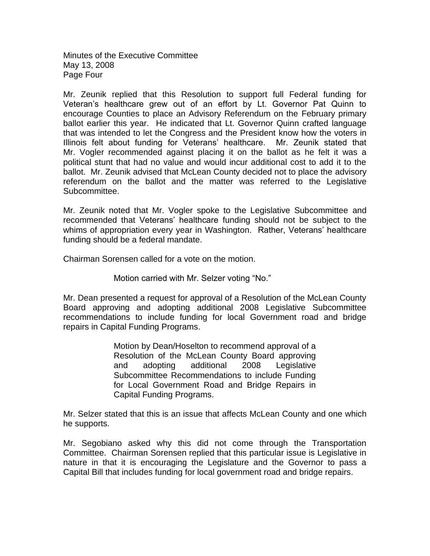Minutes of the Executive Committee May 13, 2008 Page Four

Mr. Zeunik replied that this Resolution to support full Federal funding for Veteran's healthcare grew out of an effort by Lt. Governor Pat Quinn to encourage Counties to place an Advisory Referendum on the February primary ballot earlier this year. He indicated that Lt. Governor Quinn crafted language that was intended to let the Congress and the President know how the voters in Illinois felt about funding for Veterans' healthcare. Mr. Zeunik stated that Mr. Vogler recommended against placing it on the ballot as he felt it was a political stunt that had no value and would incur additional cost to add it to the ballot. Mr. Zeunik advised that McLean County decided not to place the advisory referendum on the ballot and the matter was referred to the Legislative Subcommittee.

Mr. Zeunik noted that Mr. Vogler spoke to the Legislative Subcommittee and recommended that Veterans' healthcare funding should not be subject to the whims of appropriation every year in Washington. Rather, Veterans' healthcare funding should be a federal mandate.

Chairman Sorensen called for a vote on the motion.

Motion carried with Mr. Selzer voting "No."

Mr. Dean presented a request for approval of a Resolution of the McLean County Board approving and adopting additional 2008 Legislative Subcommittee recommendations to include funding for local Government road and bridge repairs in Capital Funding Programs.

> Motion by Dean/Hoselton to recommend approval of a Resolution of the McLean County Board approving and adopting additional 2008 Legislative Subcommittee Recommendations to include Funding for Local Government Road and Bridge Repairs in Capital Funding Programs.

Mr. Selzer stated that this is an issue that affects McLean County and one which he supports.

Mr. Segobiano asked why this did not come through the Transportation Committee. Chairman Sorensen replied that this particular issue is Legislative in nature in that it is encouraging the Legislature and the Governor to pass a Capital Bill that includes funding for local government road and bridge repairs.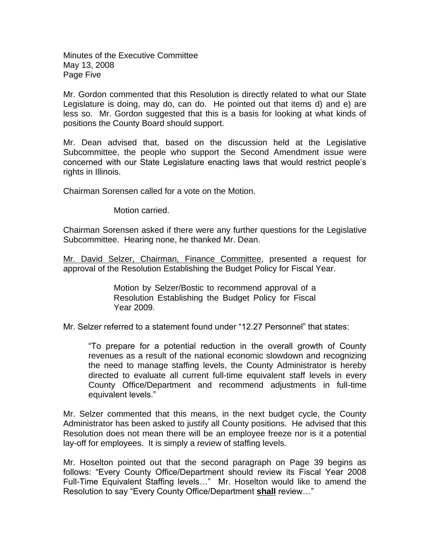Minutes of the Executive Committee May 13, 2008 Page Five

Mr. Gordon commented that this Resolution is directly related to what our State Legislature is doing, may do, can do. He pointed out that items d) and e) are less so. Mr. Gordon suggested that this is a basis for looking at what kinds of positions the County Board should support.

Mr. Dean advised that, based on the discussion held at the Legislative Subcommittee, the people who support the Second Amendment issue were concerned with our State Legislature enacting laws that would restrict people's rights in Illinois.

Chairman Sorensen called for a vote on the Motion.

Motion carried.

Chairman Sorensen asked if there were any further questions for the Legislative Subcommittee. Hearing none, he thanked Mr. Dean.

Mr. David Selzer, Chairman, Finance Committee, presented a request for approval of the Resolution Establishing the Budget Policy for Fiscal Year.

> Motion by Selzer/Bostic to recommend approval of a Resolution Establishing the Budget Policy for Fiscal Year 2009.

Mr. Selzer referred to a statement found under "12.27 Personnel" that states:

"To prepare for a potential reduction in the overall growth of County revenues as a result of the national economic slowdown and recognizing the need to manage staffing levels, the County Administrator is hereby directed to evaluate all current full-time equivalent staff levels in every County Office/Department and recommend adjustments in full-time equivalent levels."

Mr. Selzer commented that this means, in the next budget cycle, the County Administrator has been asked to justify all County positions. He advised that this Resolution does not mean there will be an employee freeze nor is it a potential lay-off for employees. It is simply a review of staffing levels.

Mr. Hoselton pointed out that the second paragraph on Page 39 begins as follows: "Every County Office/Department should review its Fiscal Year 2008 Full-Time Equivalent Staffing levels…" Mr. Hoselton would like to amend the Resolution to say "Every County Office/Department **shall** review…"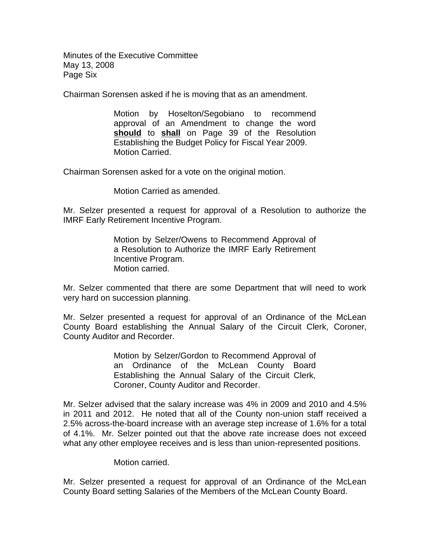Minutes of the Executive Committee May 13, 2008 Page Six

Chairman Sorensen asked if he is moving that as an amendment.

Motion by Hoselton/Segobiano to recommend approval of an Amendment to change the word **should** to **shall** on Page 39 of the Resolution Establishing the Budget Policy for Fiscal Year 2009. Motion Carried.

Chairman Sorensen asked for a vote on the original motion.

Motion Carried as amended.

Mr. Selzer presented a request for approval of a Resolution to authorize the IMRF Early Retirement Incentive Program.

> Motion by Selzer/Owens to Recommend Approval of a Resolution to Authorize the IMRF Early Retirement Incentive Program. Motion carried.

Mr. Selzer commented that there are some Department that will need to work very hard on succession planning.

Mr. Selzer presented a request for approval of an Ordinance of the McLean County Board establishing the Annual Salary of the Circuit Clerk, Coroner, County Auditor and Recorder.

> Motion by Selzer/Gordon to Recommend Approval of an Ordinance of the McLean County Board Establishing the Annual Salary of the Circuit Clerk, Coroner, County Auditor and Recorder.

Mr. Selzer advised that the salary increase was 4% in 2009 and 2010 and 4.5% in 2011 and 2012. He noted that all of the County non-union staff received a 2.5% across-the-board increase with an average step increase of 1.6% for a total of 4.1%. Mr. Selzer pointed out that the above rate increase does not exceed what any other employee receives and is less than union-represented positions.

## Motion carried.

Mr. Selzer presented a request for approval of an Ordinance of the McLean County Board setting Salaries of the Members of the McLean County Board.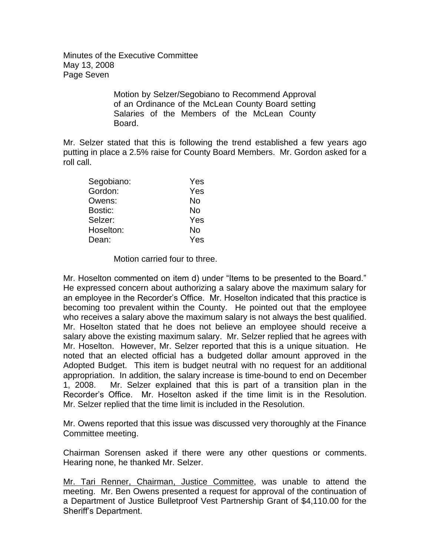Minutes of the Executive Committee May 13, 2008 Page Seven

> Motion by Selzer/Segobiano to Recommend Approval of an Ordinance of the McLean County Board setting Salaries of the Members of the McLean County Board.

Mr. Selzer stated that this is following the trend established a few years ago putting in place a 2.5% raise for County Board Members. Mr. Gordon asked for a roll call.

| Segobiano: | Yes |
|------------|-----|
| Gordon:    | Yes |
| Owens:     | No  |
| Bostic:    | No  |
| Selzer:    | Yes |
| Hoselton:  | No  |
| Dean:      | Yes |

Motion carried four to three.

Mr. Hoselton commented on item d) under "Items to be presented to the Board." He expressed concern about authorizing a salary above the maximum salary for an employee in the Recorder's Office. Mr. Hoselton indicated that this practice is becoming too prevalent within the County. He pointed out that the employee who receives a salary above the maximum salary is not always the best qualified. Mr. Hoselton stated that he does not believe an employee should receive a salary above the existing maximum salary. Mr. Selzer replied that he agrees with Mr. Hoselton. However, Mr. Selzer reported that this is a unique situation. He noted that an elected official has a budgeted dollar amount approved in the Adopted Budget. This item is budget neutral with no request for an additional appropriation. In addition, the salary increase is time-bound to end on December 1, 2008. Mr. Selzer explained that this is part of a transition plan in the Recorder's Office. Mr. Hoselton asked if the time limit is in the Resolution. Mr. Selzer replied that the time limit is included in the Resolution.

Mr. Owens reported that this issue was discussed very thoroughly at the Finance Committee meeting.

Chairman Sorensen asked if there were any other questions or comments. Hearing none, he thanked Mr. Selzer.

Mr. Tari Renner, Chairman, Justice Committee, was unable to attend the meeting. Mr. Ben Owens presented a request for approval of the continuation of a Department of Justice Bulletproof Vest Partnership Grant of \$4,110.00 for the Sheriff's Department.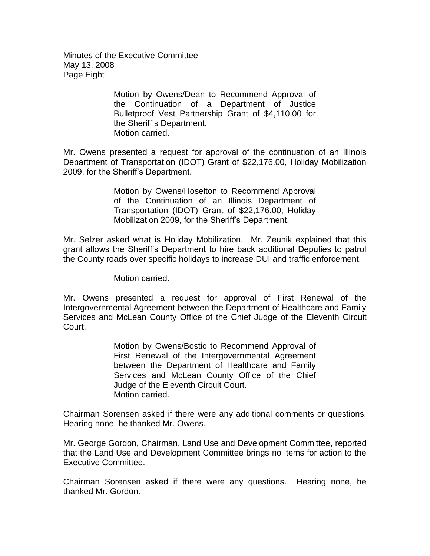Minutes of the Executive Committee May 13, 2008 Page Eight

> Motion by Owens/Dean to Recommend Approval of the Continuation of a Department of Justice Bulletproof Vest Partnership Grant of \$4,110.00 for the Sheriff's Department. Motion carried.

Mr. Owens presented a request for approval of the continuation of an Illinois Department of Transportation (IDOT) Grant of \$22,176.00, Holiday Mobilization 2009, for the Sheriff's Department.

> Motion by Owens/Hoselton to Recommend Approval of the Continuation of an Illinois Department of Transportation (IDOT) Grant of \$22,176.00, Holiday Mobilization 2009, for the Sheriff's Department.

Mr. Selzer asked what is Holiday Mobilization. Mr. Zeunik explained that this grant allows the Sheriff's Department to hire back additional Deputies to patrol the County roads over specific holidays to increase DUI and traffic enforcement.

Motion carried.

Mr. Owens presented a request for approval of First Renewal of the Intergovernmental Agreement between the Department of Healthcare and Family Services and McLean County Office of the Chief Judge of the Eleventh Circuit Court.

> Motion by Owens/Bostic to Recommend Approval of First Renewal of the Intergovernmental Agreement between the Department of Healthcare and Family Services and McLean County Office of the Chief Judge of the Eleventh Circuit Court. Motion carried.

Chairman Sorensen asked if there were any additional comments or questions. Hearing none, he thanked Mr. Owens.

Mr. George Gordon, Chairman, Land Use and Development Committee, reported that the Land Use and Development Committee brings no items for action to the Executive Committee.

Chairman Sorensen asked if there were any questions. Hearing none, he thanked Mr. Gordon.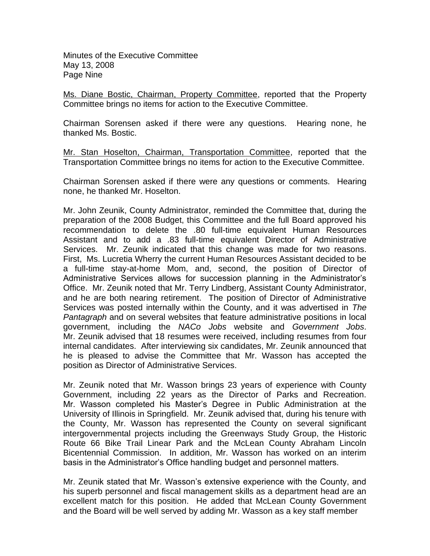Minutes of the Executive Committee May 13, 2008 Page Nine

Ms. Diane Bostic, Chairman, Property Committee, reported that the Property Committee brings no items for action to the Executive Committee.

Chairman Sorensen asked if there were any questions. Hearing none, he thanked Ms. Bostic.

Mr. Stan Hoselton, Chairman, Transportation Committee, reported that the Transportation Committee brings no items for action to the Executive Committee.

Chairman Sorensen asked if there were any questions or comments. Hearing none, he thanked Mr. Hoselton.

Mr. John Zeunik, County Administrator, reminded the Committee that, during the preparation of the 2008 Budget, this Committee and the full Board approved his recommendation to delete the .80 full-time equivalent Human Resources Assistant and to add a .83 full-time equivalent Director of Administrative Services. Mr. Zeunik indicated that this change was made for two reasons. First, Ms. Lucretia Wherry the current Human Resources Assistant decided to be a full-time stay-at-home Mom, and, second, the position of Director of Administrative Services allows for succession planning in the Administrator's Office. Mr. Zeunik noted that Mr. Terry Lindberg, Assistant County Administrator, and he are both nearing retirement. The position of Director of Administrative Services was posted internally within the County, and it was advertised in *The Pantagraph* and on several websites that feature administrative positions in local government, including the *NACo Jobs* website and *Government Jobs*. Mr. Zeunik advised that 18 resumes were received, including resumes from four internal candidates. After interviewing six candidates, Mr. Zeunik announced that he is pleased to advise the Committee that Mr. Wasson has accepted the position as Director of Administrative Services.

Mr. Zeunik noted that Mr. Wasson brings 23 years of experience with County Government, including 22 years as the Director of Parks and Recreation. Mr. Wasson completed his Master's Degree in Public Administration at the University of Illinois in Springfield. Mr. Zeunik advised that, during his tenure with the County, Mr. Wasson has represented the County on several significant intergovernmental projects including the Greenways Study Group, the Historic Route 66 Bike Trail Linear Park and the McLean County Abraham Lincoln Bicentennial Commission. In addition, Mr. Wasson has worked on an interim basis in the Administrator's Office handling budget and personnel matters.

Mr. Zeunik stated that Mr. Wasson's extensive experience with the County, and his superb personnel and fiscal management skills as a department head are an excellent match for this position. He added that McLean County Government and the Board will be well served by adding Mr. Wasson as a key staff member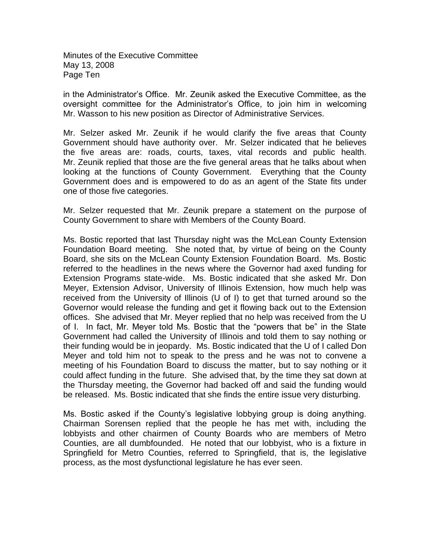Minutes of the Executive Committee May 13, 2008 Page Ten

in the Administrator's Office. Mr. Zeunik asked the Executive Committee, as the oversight committee for the Administrator's Office, to join him in welcoming Mr. Wasson to his new position as Director of Administrative Services.

Mr. Selzer asked Mr. Zeunik if he would clarify the five areas that County Government should have authority over. Mr. Selzer indicated that he believes the five areas are: roads, courts, taxes, vital records and public health. Mr. Zeunik replied that those are the five general areas that he talks about when looking at the functions of County Government. Everything that the County Government does and is empowered to do as an agent of the State fits under one of those five categories.

Mr. Selzer requested that Mr. Zeunik prepare a statement on the purpose of County Government to share with Members of the County Board.

Ms. Bostic reported that last Thursday night was the McLean County Extension Foundation Board meeting. She noted that, by virtue of being on the County Board, she sits on the McLean County Extension Foundation Board. Ms. Bostic referred to the headlines in the news where the Governor had axed funding for Extension Programs state-wide. Ms. Bostic indicated that she asked Mr. Don Meyer, Extension Advisor, University of Illinois Extension, how much help was received from the University of Illinois (U of I) to get that turned around so the Governor would release the funding and get it flowing back out to the Extension offices. She advised that Mr. Meyer replied that no help was received from the U of I. In fact, Mr. Meyer told Ms. Bostic that the "powers that be" in the State Government had called the University of Illinois and told them to say nothing or their funding would be in jeopardy. Ms. Bostic indicated that the U of I called Don Meyer and told him not to speak to the press and he was not to convene a meeting of his Foundation Board to discuss the matter, but to say nothing or it could affect funding in the future. She advised that, by the time they sat down at the Thursday meeting, the Governor had backed off and said the funding would be released. Ms. Bostic indicated that she finds the entire issue very disturbing.

Ms. Bostic asked if the County's legislative lobbying group is doing anything. Chairman Sorensen replied that the people he has met with, including the lobbyists and other chairmen of County Boards who are members of Metro Counties, are all dumbfounded. He noted that our lobbyist, who is a fixture in Springfield for Metro Counties, referred to Springfield, that is, the legislative process, as the most dysfunctional legislature he has ever seen.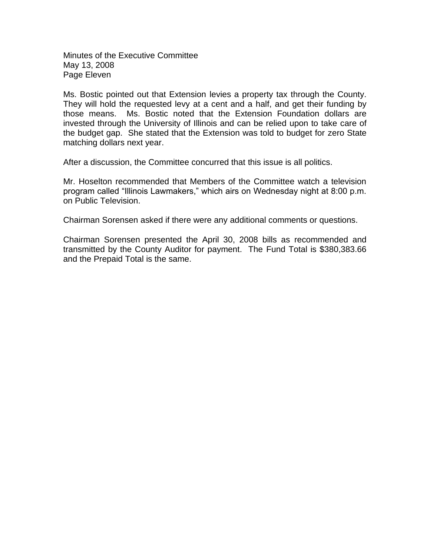Minutes of the Executive Committee May 13, 2008 Page Eleven

Ms. Bostic pointed out that Extension levies a property tax through the County. They will hold the requested levy at a cent and a half, and get their funding by those means. Ms. Bostic noted that the Extension Foundation dollars are invested through the University of Illinois and can be relied upon to take care of the budget gap. She stated that the Extension was told to budget for zero State matching dollars next year.

After a discussion, the Committee concurred that this issue is all politics.

Mr. Hoselton recommended that Members of the Committee watch a television program called "Illinois Lawmakers," which airs on Wednesday night at 8:00 p.m. on Public Television.

Chairman Sorensen asked if there were any additional comments or questions.

Chairman Sorensen presented the April 30, 2008 bills as recommended and transmitted by the County Auditor for payment. The Fund Total is \$380,383.66 and the Prepaid Total is the same.